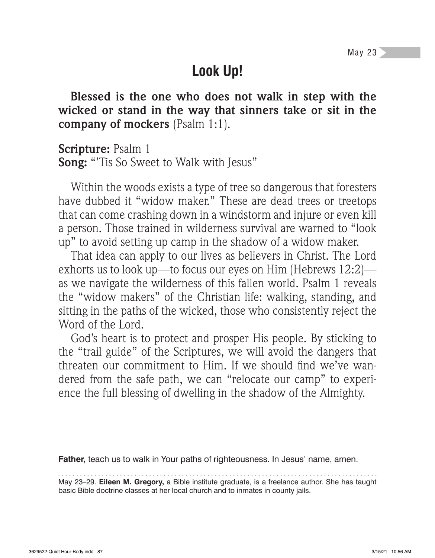## **Look Up!**

**Blessed is the one who does not walk in step with the wicked or stand in the way that sinners take or sit in the company of mockers** (Psalm 1:1).

**Scripture:** Psalm 1

**Song:** "'Tis So Sweet to Walk with Jesus"

Within the woods exists a type of tree so dangerous that foresters have dubbed it "widow maker." These are dead trees or treetops that can come crashing down in a windstorm and injure or even kill a person. Those trained in wilderness survival are warned to "look up" to avoid setting up camp in the shadow of a widow maker.

That idea can apply to our lives as believers in Christ. The Lord exhorts us to look up—to focus our eyes on Him (Hebrews 12:2) as we navigate the wilderness of this fallen world. Psalm 1 reveals the "widow makers" of the Christian life: walking, standing, and sitting in the paths of the wicked, those who consistently reject the Word of the Lord.

God's heart is to protect and prosper His people. By sticking to the "trail guide" of the Scriptures, we will avoid the dangers that threaten our commitment to Him. If we should find we've wandered from the safe path, we can "relocate our camp" to experience the full blessing of dwelling in the shadow of the Almighty.

**Father,** teach us to walk in Your paths of righteousness. In Jesus' name, amen.

May 23–29. **Eileen M. Gregory,** a Bible institute graduate, is a freelance author. She has taught basic Bible doctrine classes at her local church and to inmates in county jails.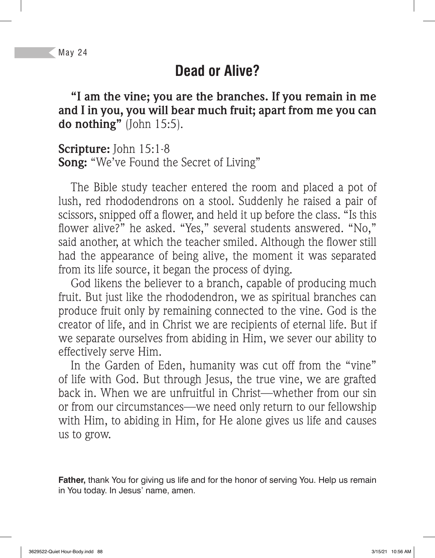## **Dead or Alive?**

**"I am the vine; you are the branches. If you remain in me and I in you, you will bear much fruit; apart from me you can do nothing"** (John 15:5).

**Scripture:** John 15:1-8 **Song:** "We've Found the Secret of Living"

The Bible study teacher entered the room and placed a pot of lush, red rhododendrons on a stool. Suddenly he raised a pair of scissors, snipped off a flower, and held it up before the class. "Is this flower alive?" he asked. "Yes," several students answered. "No," said another, at which the teacher smiled. Although the flower still had the appearance of being alive, the moment it was separated from its life source, it began the process of dying.

God likens the believer to a branch, capable of producing much fruit. But just like the rhododendron, we as spiritual branches can produce fruit only by remaining connected to the vine. God is the creator of life, and in Christ we are recipients of eternal life. But if we separate ourselves from abiding in Him, we sever our ability to effectively serve Him.

In the Garden of Eden, humanity was cut off from the "vine" of life with God. But through Jesus, the true vine, we are grafted back in. When we are unfruitful in Christ—whether from our sin or from our circumstances—we need only return to our fellowship with Him, to abiding in Him, for He alone gives us life and causes us to grow.

**Father,** thank You for giving us life and for the honor of serving You. Help us remain in You today. In Jesus' name, amen.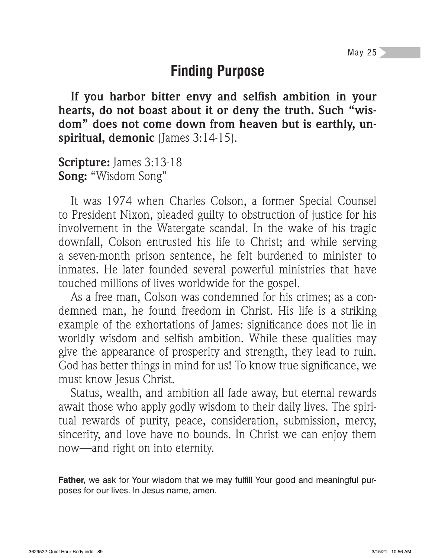### **Finding Purpose**

If you harbor bitter envy and selfish ambition in your **hearts, do not boast about it or deny the truth. Such "wisdom" does not come down from heaven but is earthly, unspiritual, demonic** (James 3:14-15).

**Scripture:** James 3:13-18 **Song:** "Wisdom Song"

It was 1974 when Charles Colson, a former Special Counsel to President Nixon, pleaded guilty to obstruction of justice for his involvement in the Watergate scandal. In the wake of his tragic downfall, Colson entrusted his life to Christ; and while serving a seven-month prison sentence, he felt burdened to minister to inmates. He later founded several powerful ministries that have touched millions of lives worldwide for the gospel.

As a free man, Colson was condemned for his crimes; as a condemned man, he found freedom in Christ. His life is a striking example of the exhortations of James: significance does not lie in worldly wisdom and selfish ambition. While these qualities may give the appearance of prosperity and strength, they lead to ruin. God has better things in mind for us! To know true significance, we must know Jesus Christ.

Status, wealth, and ambition all fade away, but eternal rewards await those who apply godly wisdom to their daily lives. The spiritual rewards of purity, peace, consideration, submission, mercy, sincerity, and love have no bounds. In Christ we can enjoy them now—and right on into eternity.

**Father,** we ask for Your wisdom that we may fulfill Your good and meaningful purposes for our lives. In Jesus name, amen.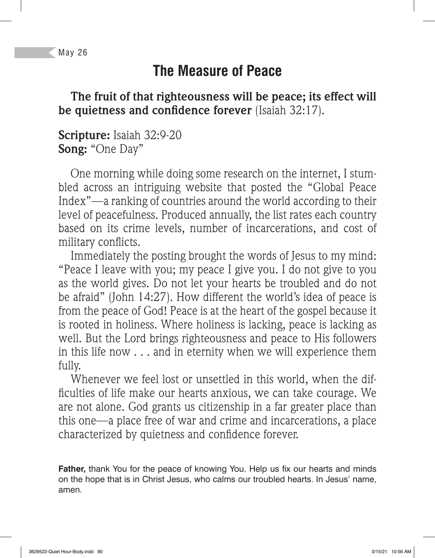# **The Measure of Peace**

**The fruit of that righteousness will be peace; its effect will be quietness and confidence forever** (Isaiah 32:17).

**Scripture:** Isaiah 32:9-20 **Song:** "One Day"

One morning while doing some research on the internet, I stumbled across an intriguing website that posted the "Global Peace Index"—a ranking of countries around the world according to their level of peacefulness. Produced annually, the list rates each country based on its crime levels, number of incarcerations, and cost of military conflicts.

Immediately the posting brought the words of Jesus to my mind: "Peace I leave with you; my peace I give you. I do not give to you as the world gives. Do not let your hearts be troubled and do not be afraid" (John 14:27). How different the world's idea of peace is from the peace of God! Peace is at the heart of the gospel because it is rooted in holiness. Where holiness is lacking, peace is lacking as well. But the Lord brings righteousness and peace to His followers in this life now . . . and in eternity when we will experience them fully.

Whenever we feel lost or unsettled in this world, when the dif ficulties of life make our hearts anxious, we can take courage. We are not alone. God grants us citizenship in a far greater place than this one—a place free of war and crime and incarcerations, a place characterized by quietness and confidence forever.

**Father,** thank You for the peace of knowing You. Help us fix our hearts and minds on the hope that is in Christ Jesus, who calms our troubled hearts. In Jesus' name, amen.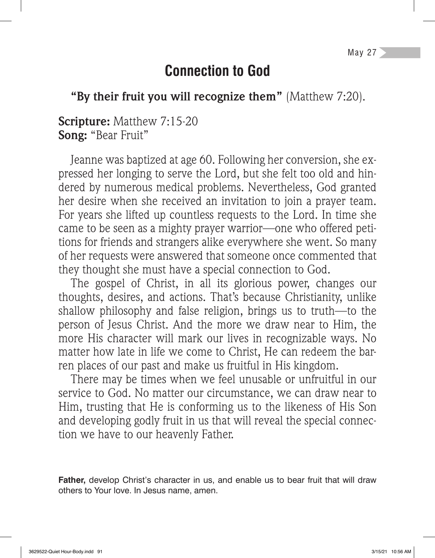### **Connection to God**

**"By their fruit you will recognize them"** (Matthew 7:20).

**Scripture:** Matthew 7:15-20 **Song:** "Bear Fruit"

Jeanne was baptized at age 60. Following her conversion, she expressed her longing to serve the Lord, but she felt too old and hindered by numerous medical problems. Nevertheless, God granted her desire when she received an invitation to join a prayer team. For years she lifted up countless requests to the Lord. In time she came to be seen as a mighty prayer warrior—one who offered petitions for friends and strangers alike everywhere she went. So many of her requests were answered that someone once commented that they thought she must have a special connection to God.

The gospel of Christ, in all its glorious power, changes our thoughts, desires, and actions. That's because Christianity, unlike shallow philosophy and false religion, brings us to truth—to the person of Jesus Christ. And the more we draw near to Him, the more His character will mark our lives in recognizable ways. No matter how late in life we come to Christ, He can redeem the barren places of our past and make us fruitful in His kingdom.

There may be times when we feel unusable or unfruitful in our service to God. No matter our circumstance, we can draw near to Him, trusting that He is conforming us to the likeness of His Son and developing godly fruit in us that will reveal the special connection we have to our heavenly Father.

**Father,** develop Christ's character in us, and enable us to bear fruit that will draw others to Your love. In Jesus name, amen.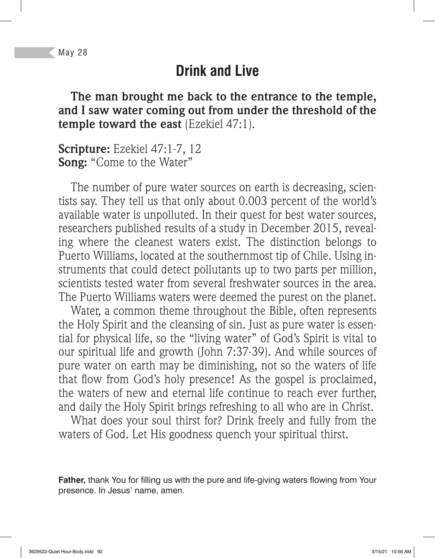#### **Drink and Live**

**The man brought me back to the entrance to the temple, and I saw water coming out from under the threshold of the temple toward the east** (Ezekiel 47:1).

**Scripture:** Ezekiel 47:1-7, 12 **Song:** "Come to the Water"

The number of pure water sources on earth is decreasing, scientists say. They tell us that only about 0.003 percent of the world's available water is unpolluted. In their quest for best water sources, researchers published results of a study in December 2015, revealing where the cleanest waters exist. The distinction belongs to Puerto Williams, located at the southernmost tip of Chile. Using instruments that could detect pollutants up to two parts per million, scientists tested water from several freshwater sources in the area. The Puerto Williams waters were deemed the purest on the planet.

Water, a common theme throughout the Bible, often represents the Holy Spirit and the cleansing of sin. Just as pure water is essential for physical life, so the "living water" of God's Spirit is vital to our spiritual life and growth (John 7:37-39). And while sources of pure water on earth may be diminishing, not so the waters of life that flow from God's holy presence! As the gospel is proclaimed, the waters of new and eternal life continue to reach ever further, and daily the Holy Spirit brings refreshing to all who are in Christ.

What does your soul thirst for? Drink freely and fully from the waters of God. Let His goodness quench your spiritual thirst.

**Father,** thank You for filling us with the pure and life-giving waters flowing from Your presence. In Jesus' name, amen.